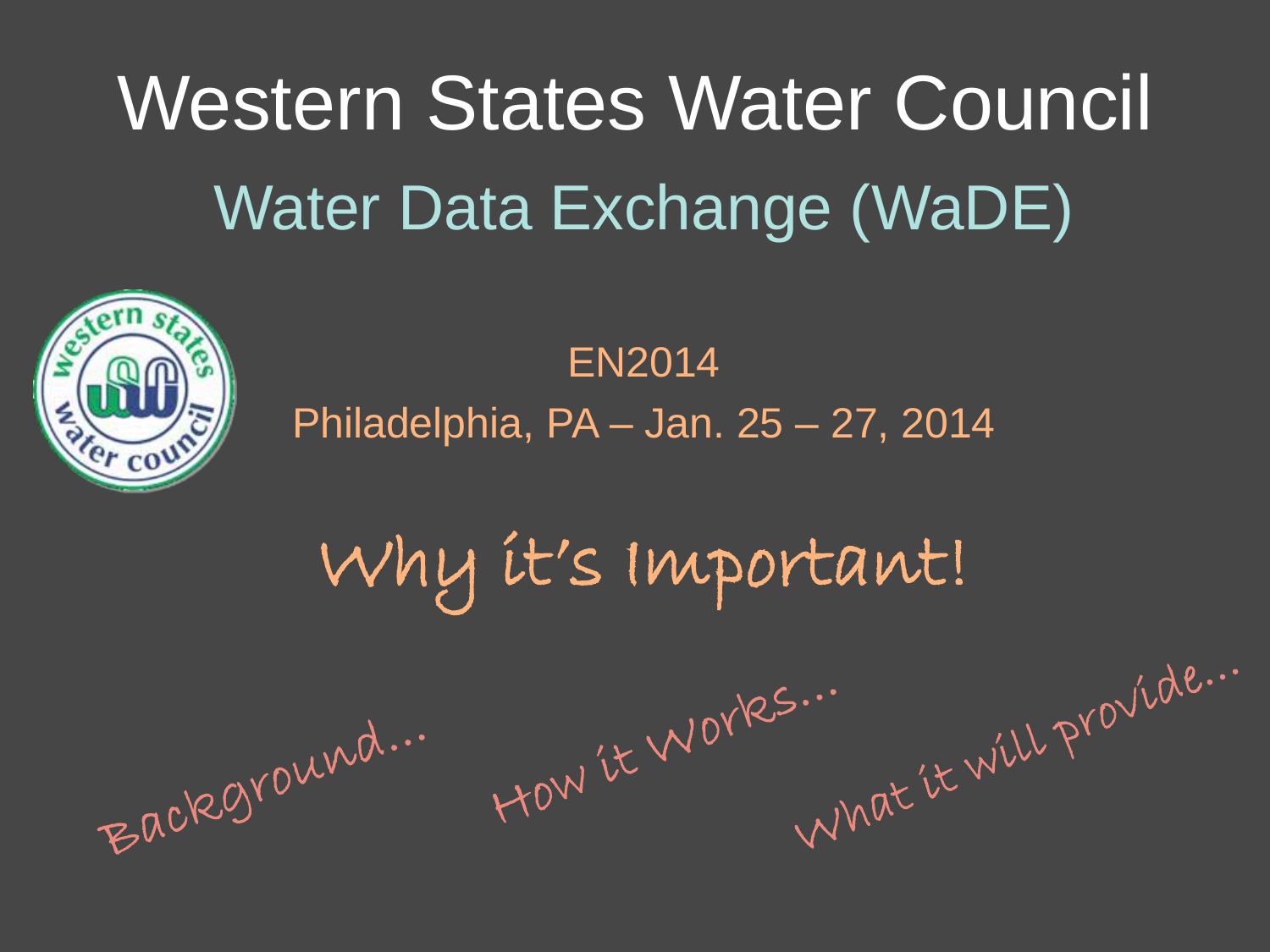Western States Water Council Water Data Exchange (WaDE)

> EN2014 Philadelphia, PA – Jan. 25 – 27, 2014

Why it's Important!

HOW'LE WOYKS...

Background...

What it will provide ...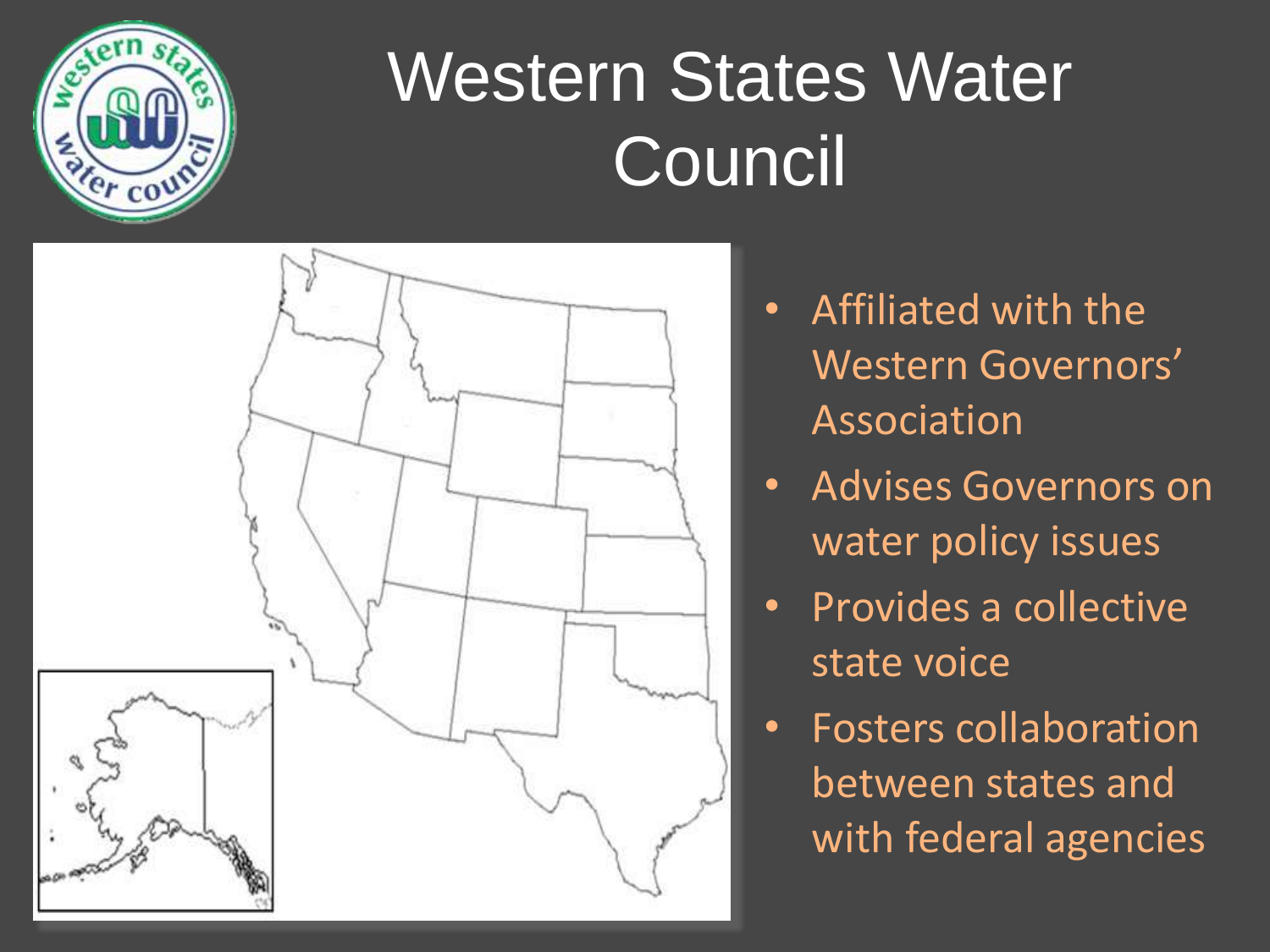

# Western States Water **Council**



- Affiliated with the Western Governors' Association
- Advises Governors on water policy issues
- Provides a collective state voice
- Fosters collaboration between states and with federal agencies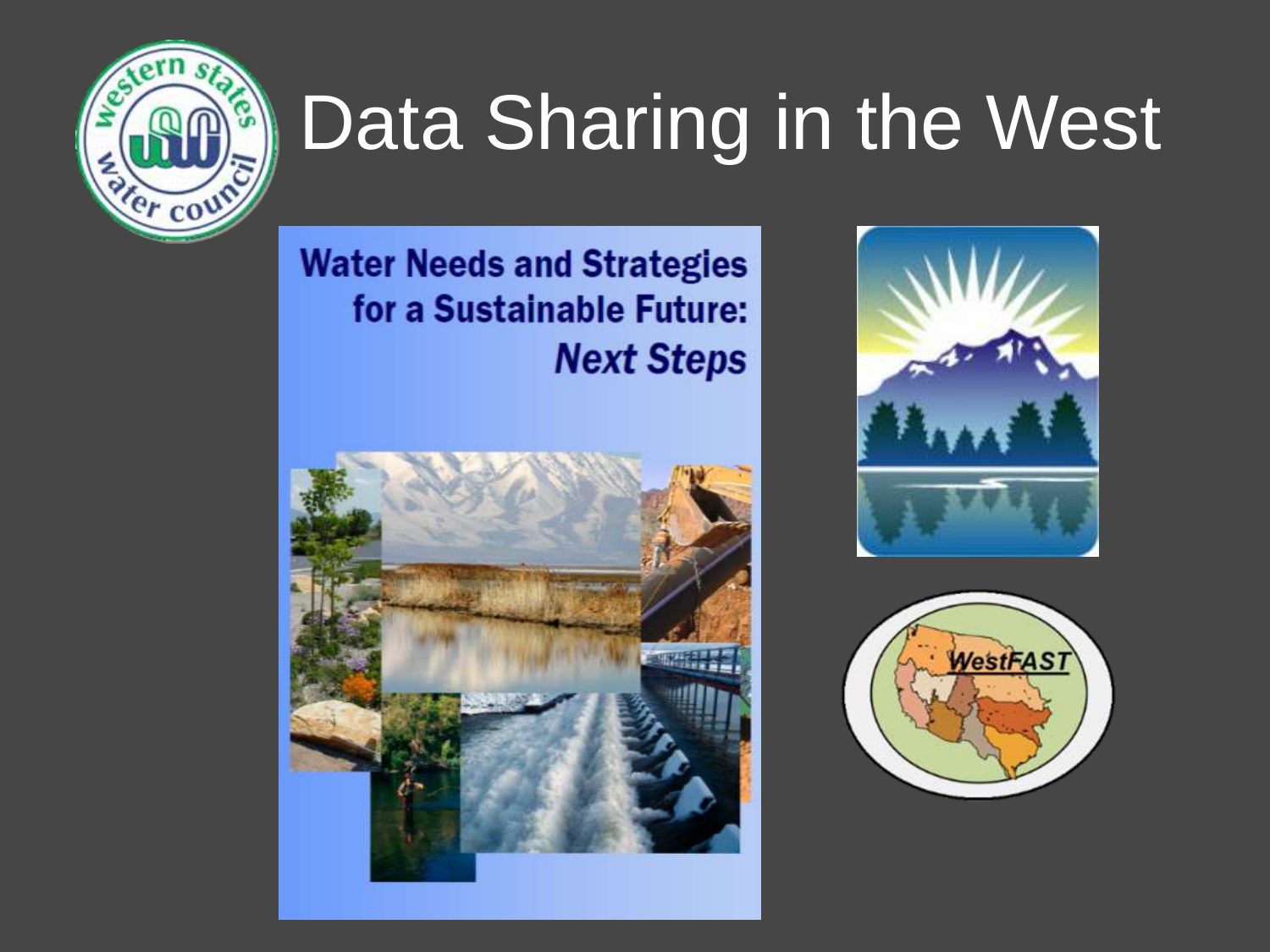

# Data Sharing in the West

#### **Water Needs and Strategies** for a Sustainable Future: **Next Steps**





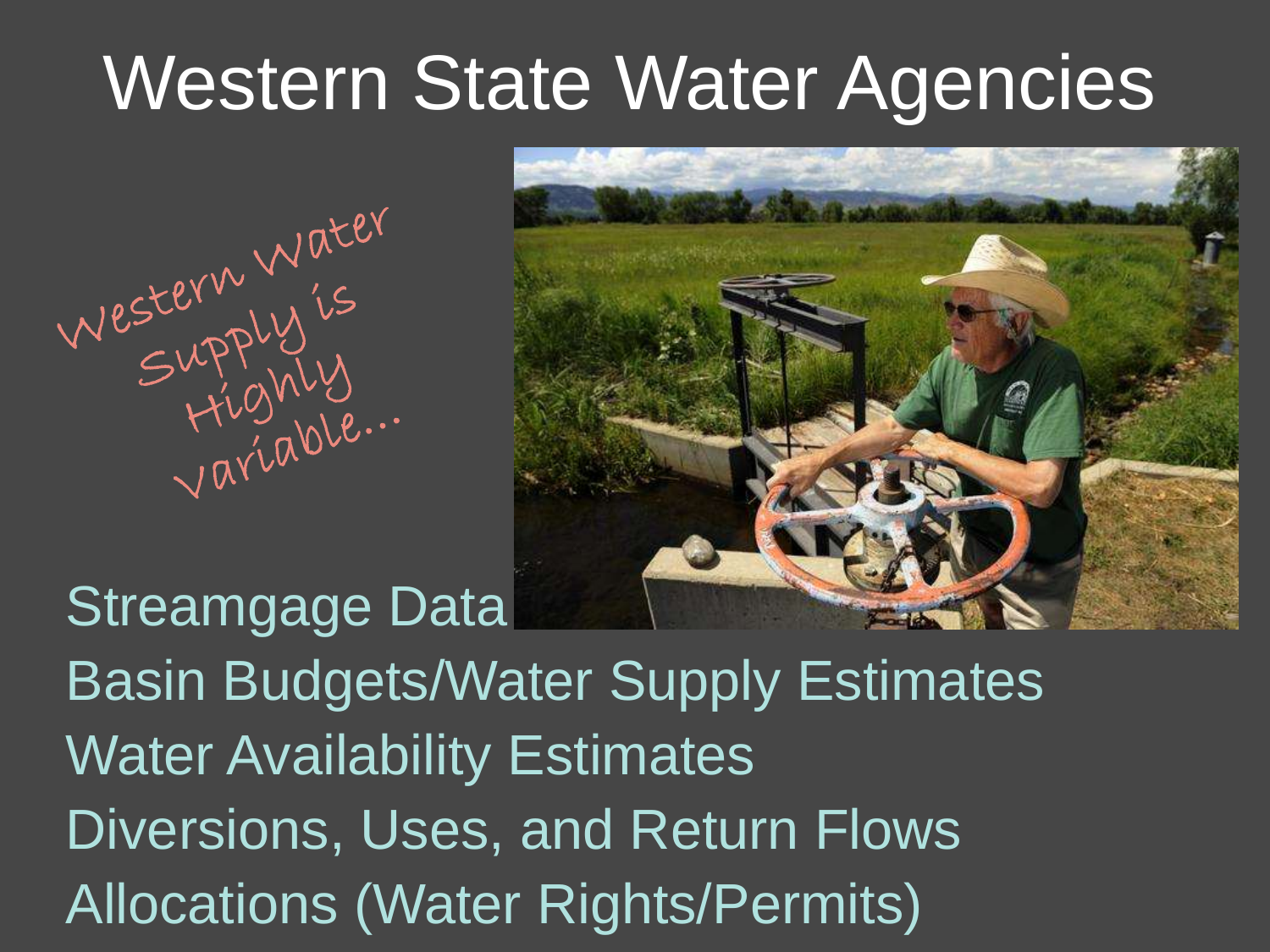# Western State Water Agencies

Western Water<br>Supply's<br>Highly<br>Variable...



Streamgage Data Basin Budgets/Water Supply Estimates Water Availability Estimates Diversions, Uses, and Return Flows Allocations (Water Rights/Permits)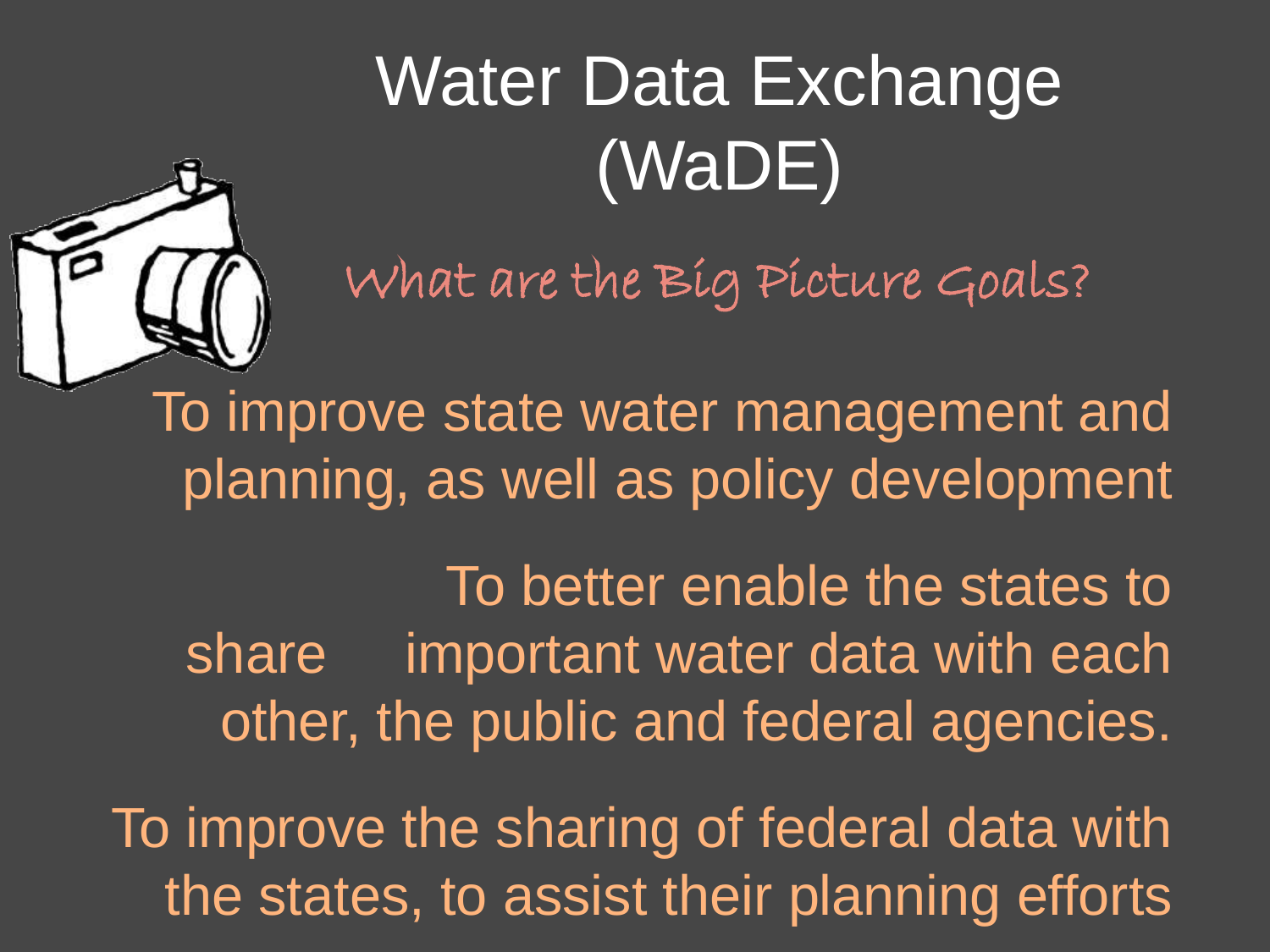# Water Data Exchange (WaDE)

What are the Big Picture Goals?



To improve state water management and planning, as well as policy development

 To better enable the states to share important water data with each other, the public and federal agencies.

To improve the sharing of federal data with the states, to assist their planning efforts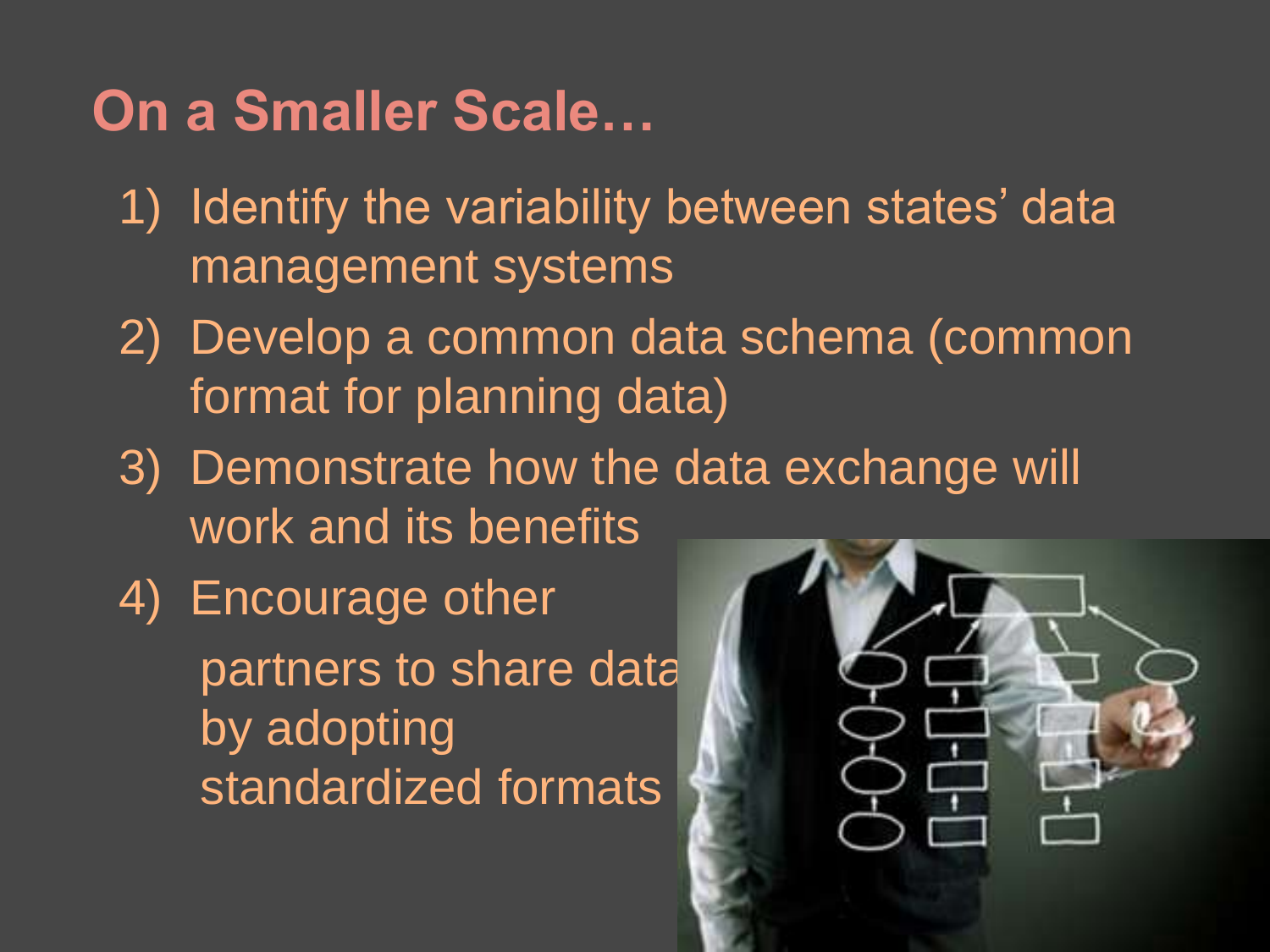## **On a Smaller Scale…**

- 1) Identify the variability between states' data management systems
- 2) Develop a common data schema (common format for planning data)
- 3) Demonstrate how the data exchange will work and its benefits
- 4) Encourage other partners to share data by adopting standardized formats

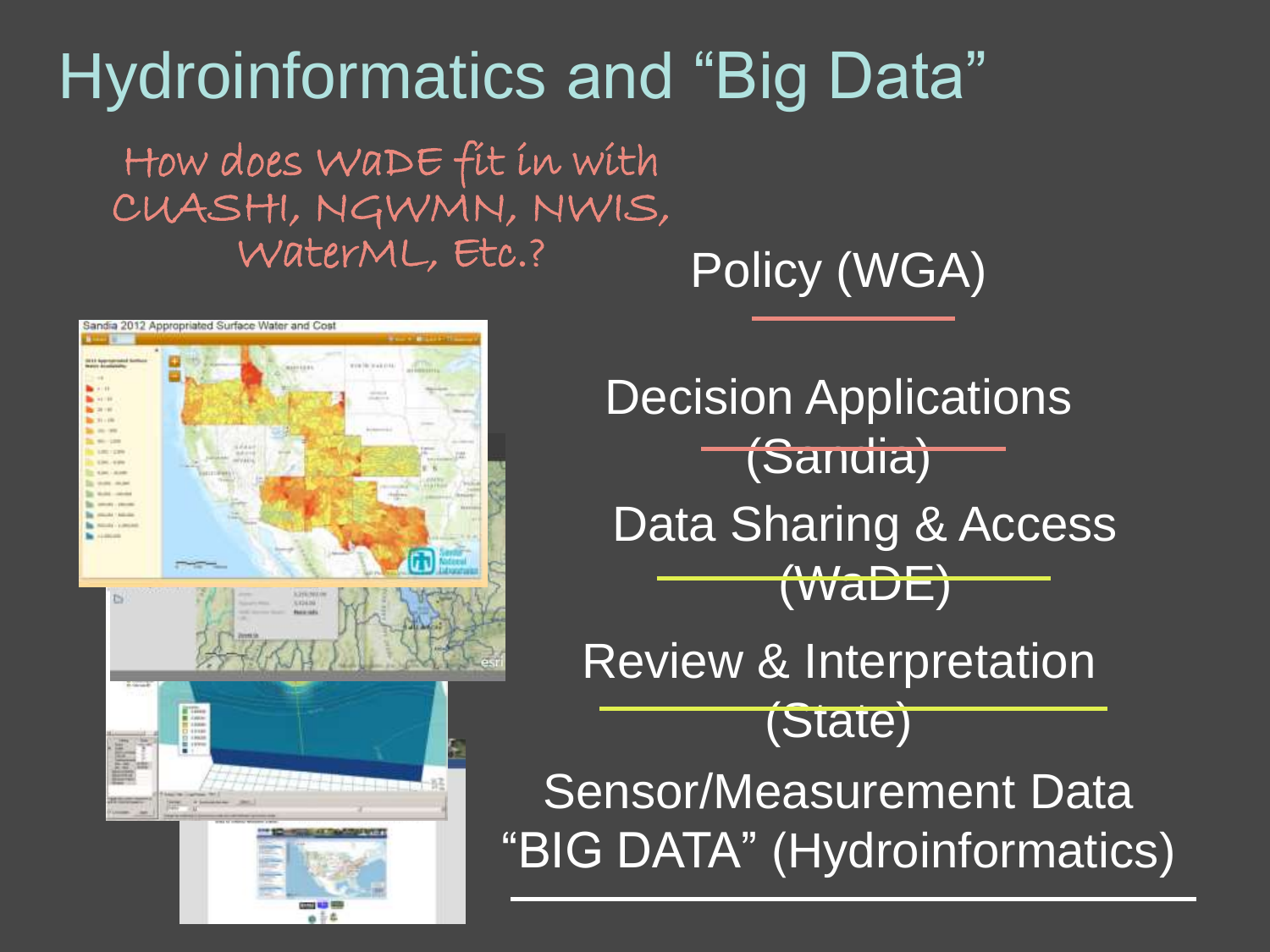## Hydroinformatics and "Big Data"

How does WaDE fit in with CUASHI, NGWMN, NWIS, WaterML, Etc.?

Policy (WGA)



Sensor/Measurement Data "BIG DATA" (Hydroinformatics) Review & Interpretation (State) Data Sharing & Access (WaDE) **Decision Applications** (Sandia)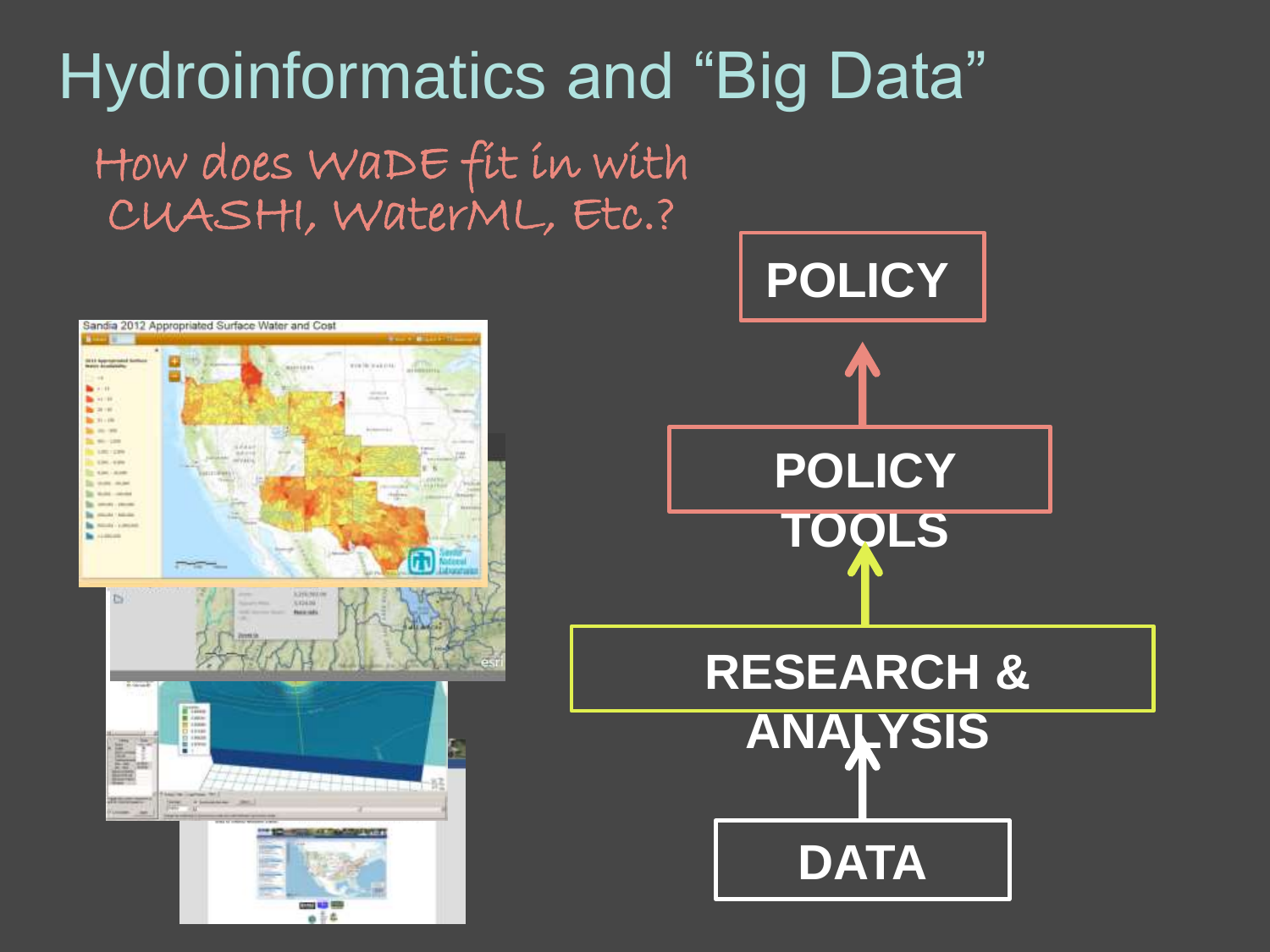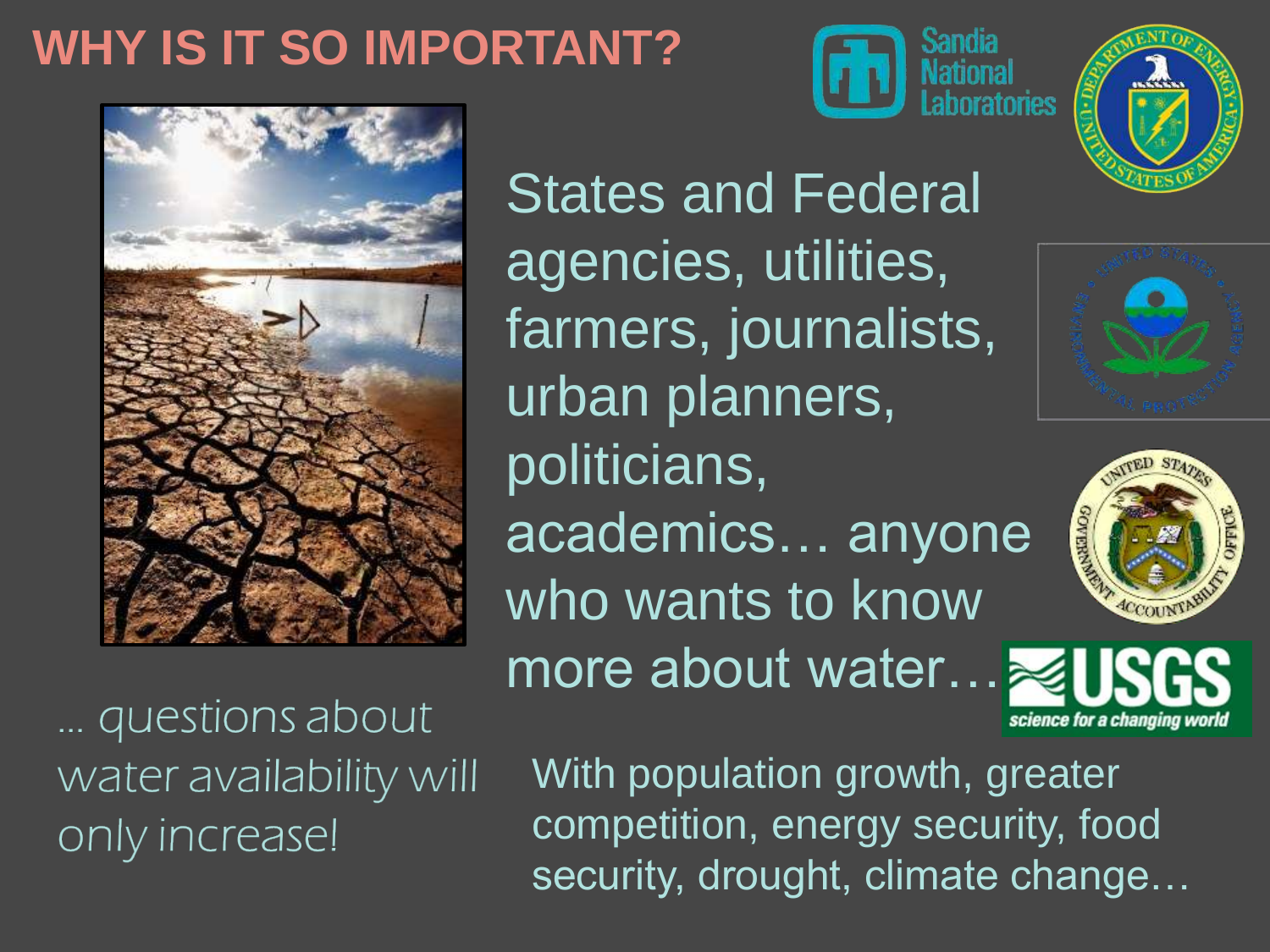### **WHY IS IT SO IMPORTANT?**







States and Federal agencies, utilities, farmers, journalists, urban planners, politicians, academics... anyone who wants to know more about water…





... questions about water availability will only increase!

With population growth, greater competition, energy security, food security, drought, climate change…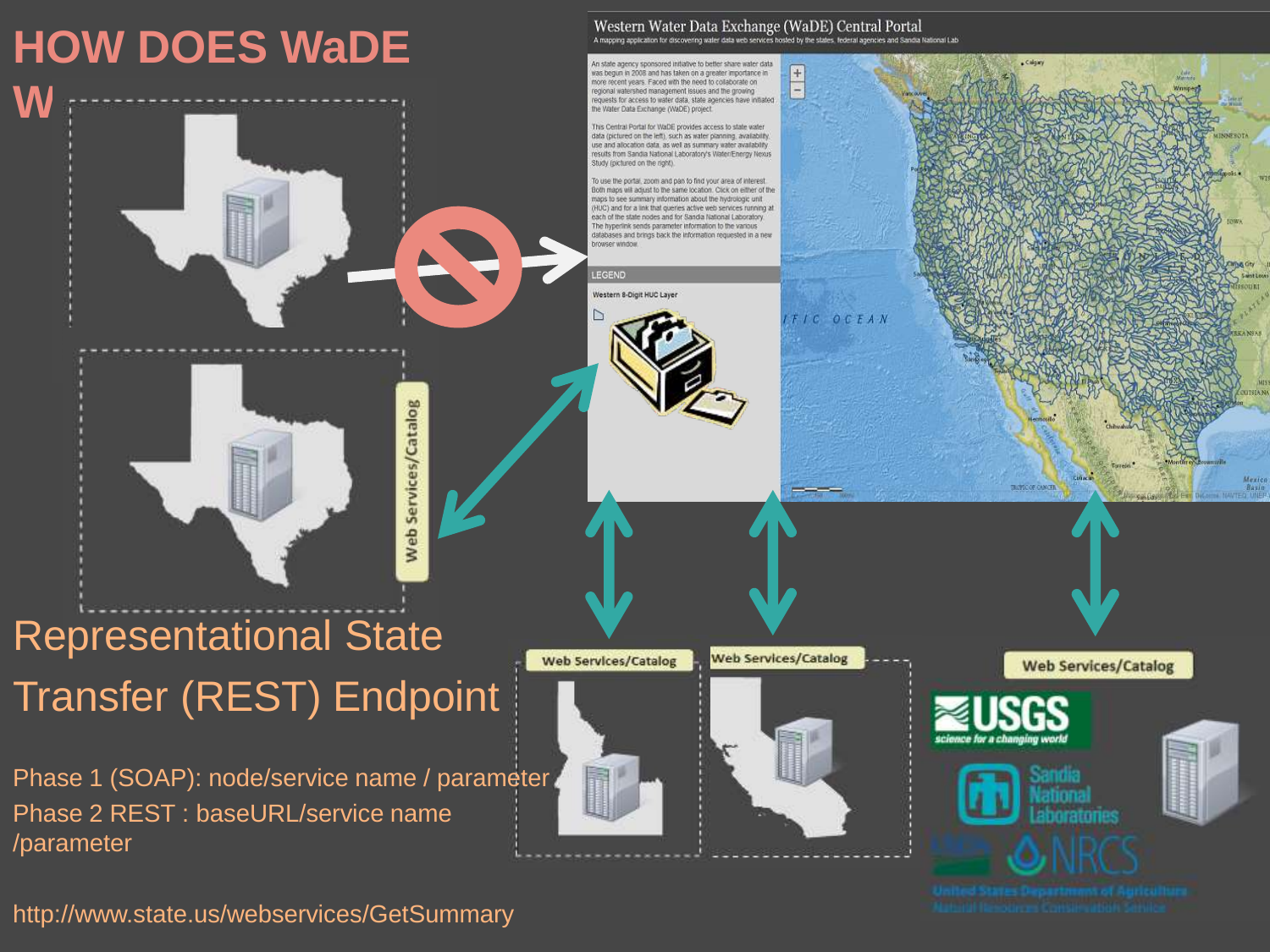

http://www.state.us/webservices/GetSummary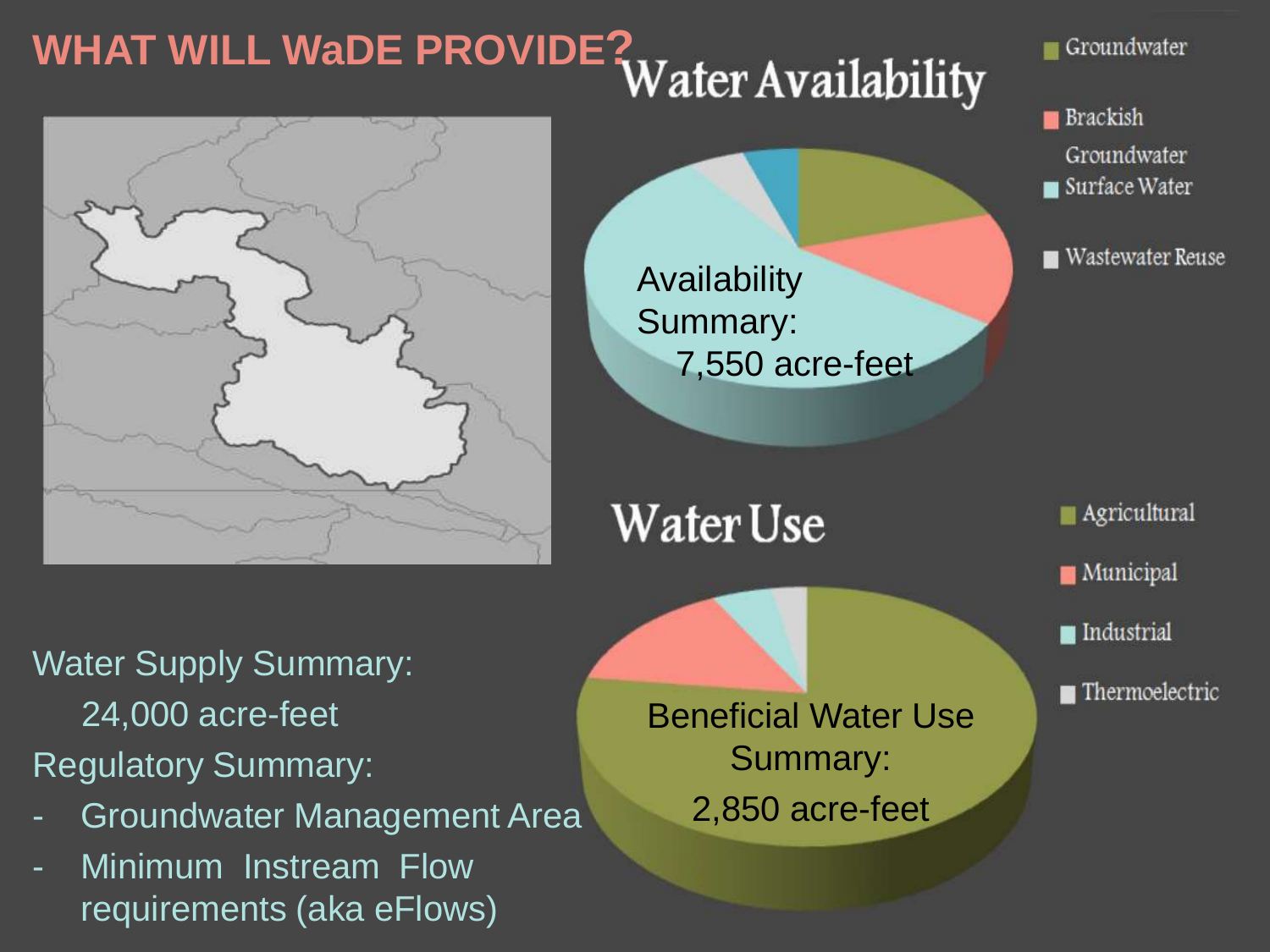# **WHAT WILL WaDE PROVIDE?**



Groundwater

**Brackish** Groundwater Surface Water

Wastewater Reuse

**Agricultural Municipal** 

 $\blacksquare$  Industrial

 $\blacksquare$  Thermoelectric

Water Supply Summary: 24,000 acre-feet

Regulatory Summary:

- Groundwater Management Area
- Minimum Instream Flow requirements (aka eFlows)

Beneficial Water Use Summary: 2,850 acre-feet

Availability

Summary:

Water Use

7,550 acre-feet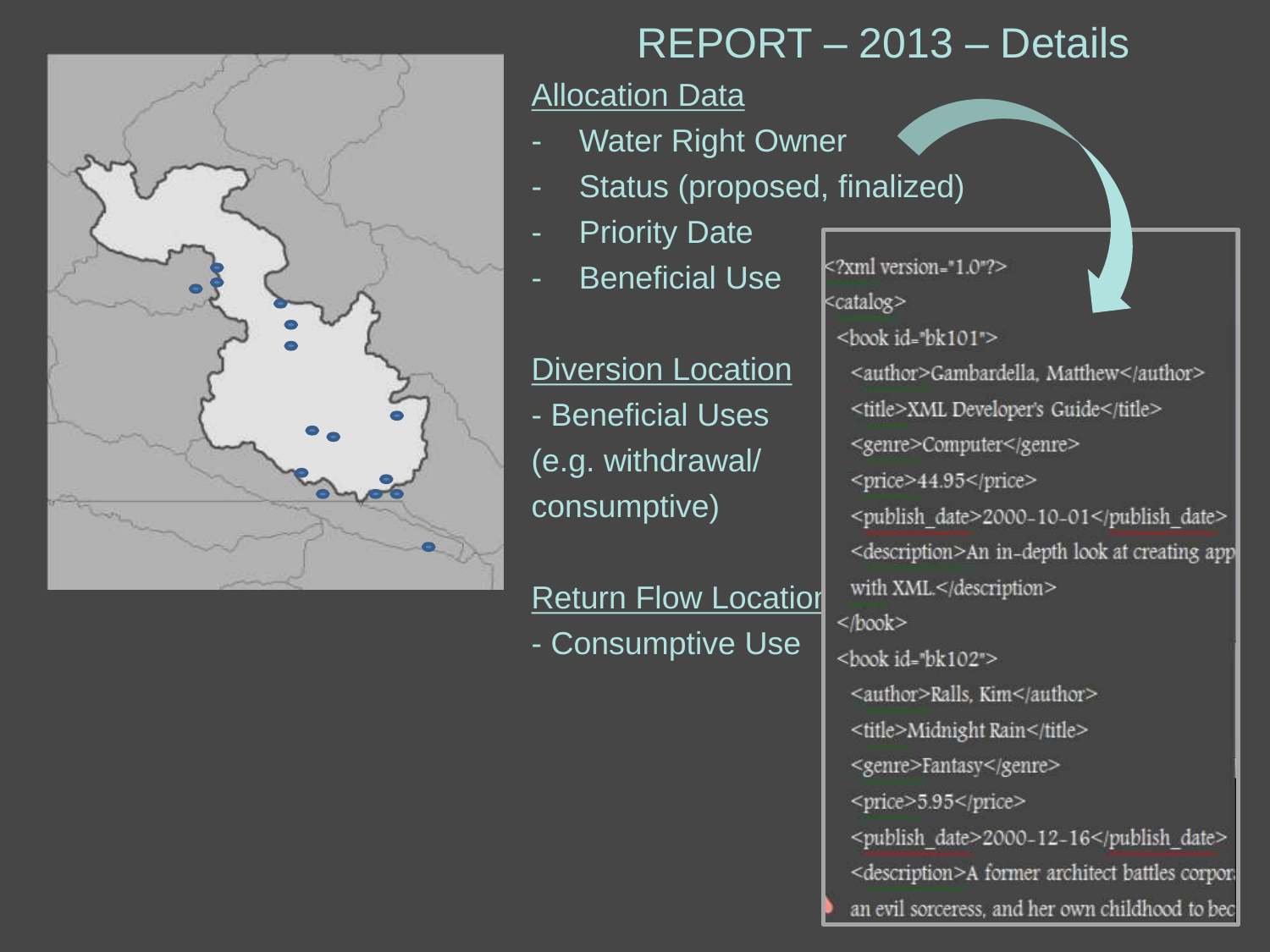

#### REPORT – 2013 – Details

#### Allocation Data

- Water Right Owner
- Status (proposed, finalized)
- **Priority Date**
- Beneficial Use

Diversion Location - Beneficial Uses (e.g. withdrawal/ consumptive)

**Return Flow Location** - Consumptive Use

<?xml version="1.0"?> <catalog> <book id="bk101"> <author>Gambardella, Matthew</author> <title>XML Developer's Guide</title> <genre>Computer</genre> <price>44.95</price> <publish date>2000-10-01</publish date> <description>An in-depth look at creating app with XML</description>  $<$ /book> <book id="bk102"> <author>Ralls, Kim</author> <title>Midnight Rain</title> <genre>Fantasy</genre> <price>5.95</price> <publish date>2000-12-16</publish date> <description>A former architect battles corpor. an evil sorceress, and her own childhood to bec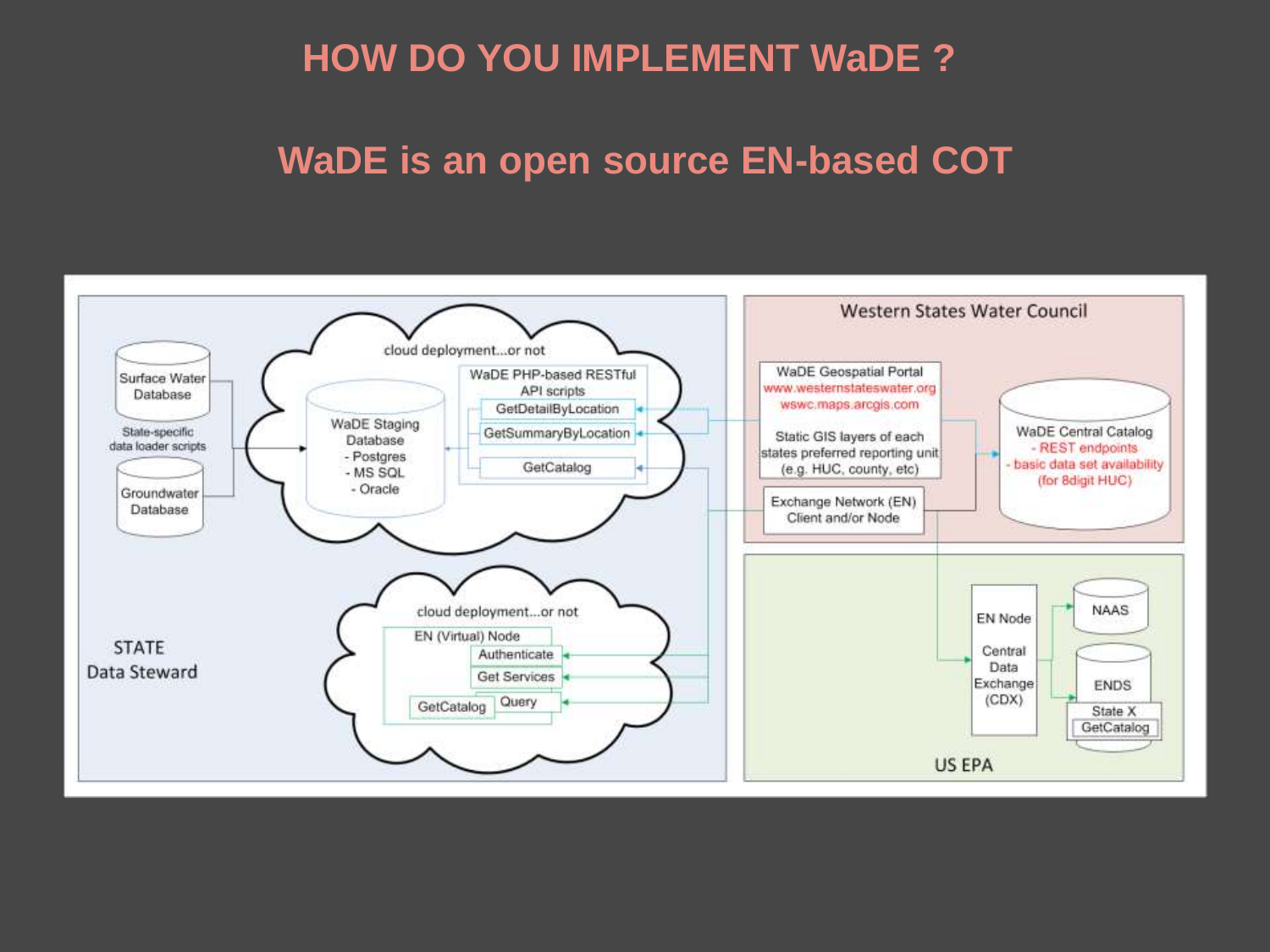#### **HOW DO YOU IMPLEMENT WaDE ?**

#### **WaDE is an open source EN-based COT**

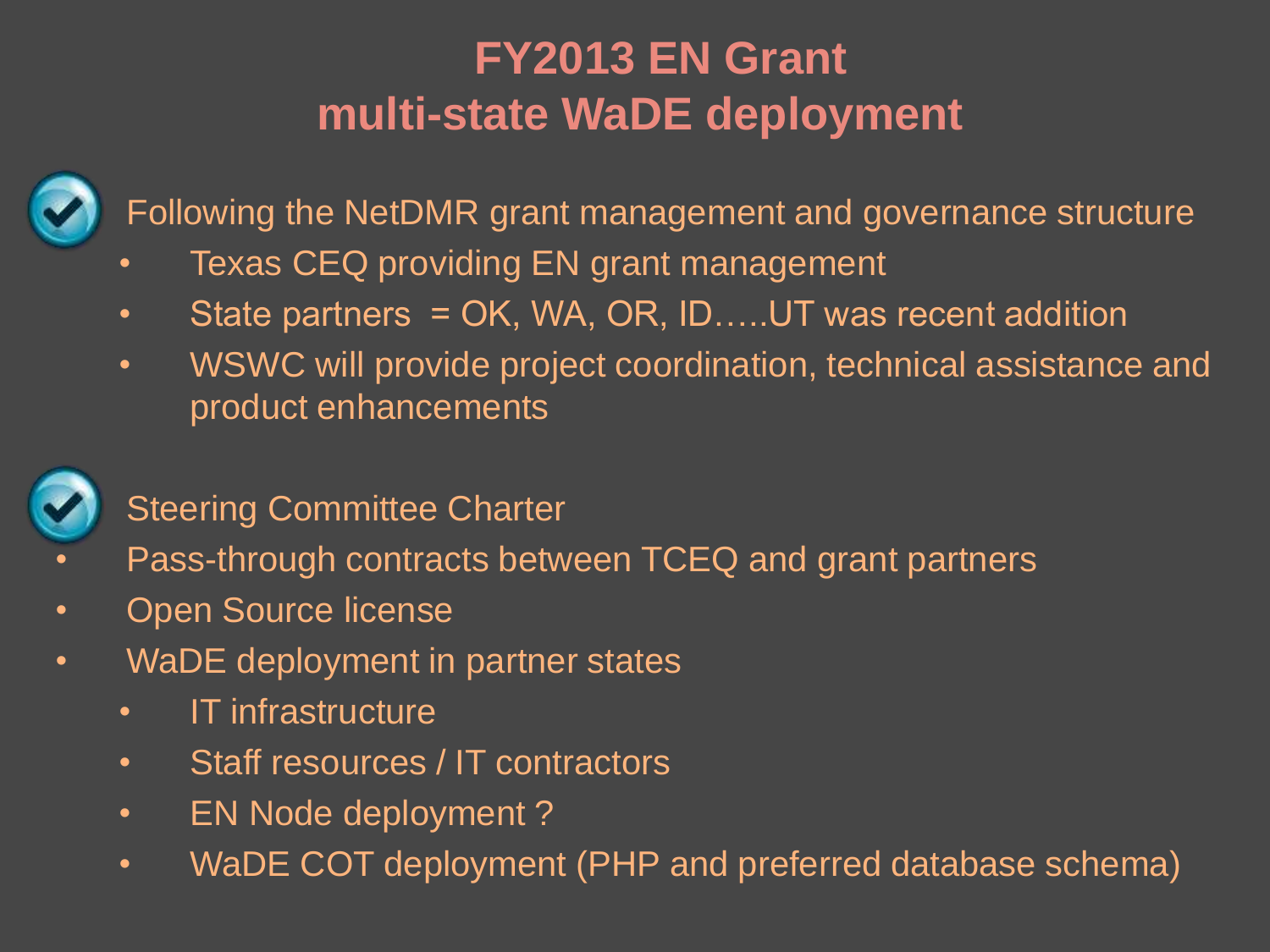#### **FY2013 EN Grant multi-state WaDE deployment**



• Following the NetDMR grant management and governance structure

- Texas CEQ providing EN grant management
- State partners = OK, WA, OR, ID....UT was recent addition
- WSWC will provide project coordination, technical assistance and product enhancements



#### **Steering Committee Charter**

- Pass-through contracts between TCEQ and grant partners
- Open Source license
- WaDE deployment in partner states
	- IT infrastructure
	- Staff resources / IT contractors
	- EN Node deployment ?
	- WaDE COT deployment (PHP and preferred database schema)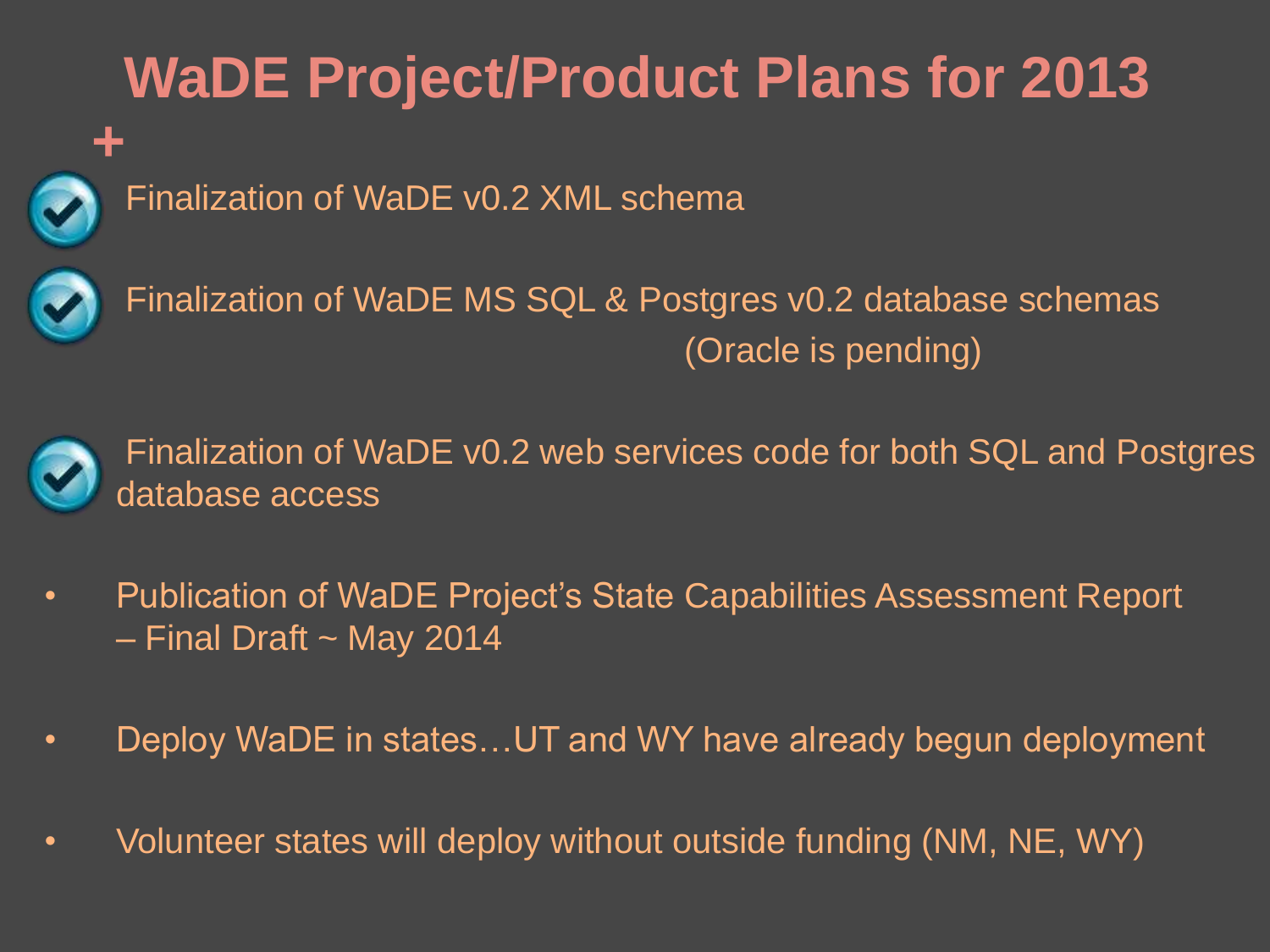## **WaDE Project/Product Plans for 2013**



• Finalization of WaDE v0.2 XML schema



• Finalization of WaDE MS SQL & Postgres v0.2 database schemas (Oracle is pending)



• Finalization of WaDE v0.2 web services code for both SQL and Postgres database access

- Publication of WaDE Project's State Capabilities Assessment Report  $-$  Final Draft  $\sim$  May 2014
- Deploy WaDE in states...UT and WY have already begun deployment
- Volunteer states will deploy without outside funding (NM, NE, WY)